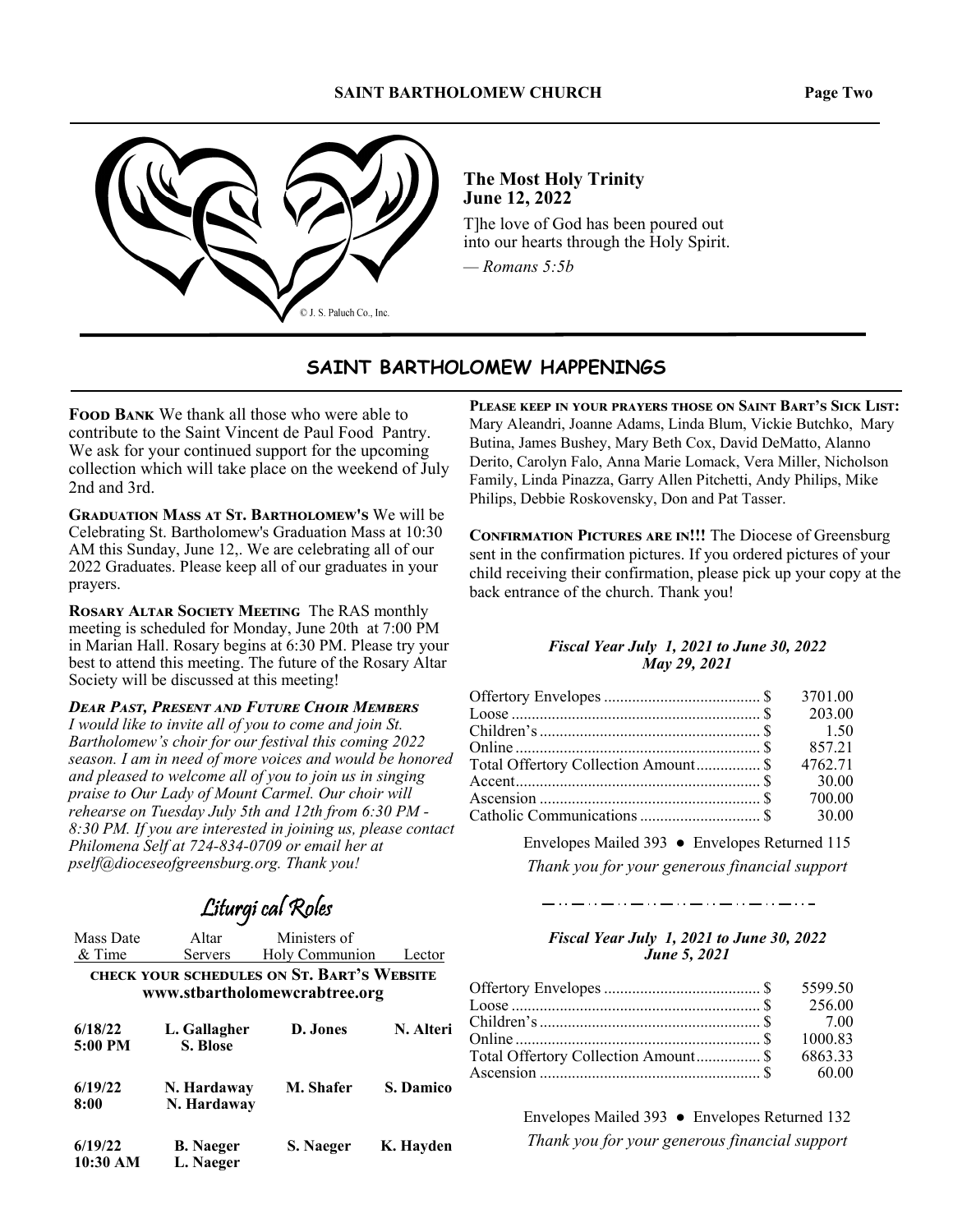#### **SAINT BARTHOLOMEW CHURCH**



**The Most Holy Trinity** June 12, 2022

The love of God has been poured out into our hearts through the Holy Spirit.

 $-$  Romans 5:5b

#### SAINT BARTHOLOMEW HAPPENINGS

**FOOD BANK** We thank all those who were able to contribute to the Saint Vincent de Paul Food Pantry. We ask for your continued support for the upcoming collection which will take place on the weekend of July 2nd and 3rd.

**GRADUATION MASS AT ST. BARTHOLOMEW'S We will be** Celebrating St. Bartholomew's Graduation Mass at 10:30 AM this Sunday, June 12,. We are celebrating all of our 2022 Graduates. Please keep all of our graduates in your prayers.

**ROSARY ALTAR SOCIETY MEETING The RAS monthly** meeting is scheduled for Monday, June 20th at 7:00 PM in Marian Hall. Rosary begins at 6:30 PM. Please try your best to attend this meeting. The future of the Rosary Altar Society will be discussed at this meeting!

**DEAR PAST, PRESENT AND FUTURE CHOIR MEMBERS** I would like to invite all of you to come and join St. Bartholomew's choir for our festival this coming 2022 season. I am in need of more voices and would be honored and pleased to welcome all of you to join us in singing praise to Our Lady of Mount Carmel. Our choir will rehearse on Tuesday July 5th and 12th from 6:30 PM -8:30 PM. If you are interested in joining us, please contact Philomena Self at 724-834-0709 or email her at pself@dioceseofgreensburg.org. Thank you!

Liturgi cal Roles

| Mass Date<br>& Time                                                         | Altar<br>Servers              | Ministers of<br>Holy Communion | Lector    |  |
|-----------------------------------------------------------------------------|-------------------------------|--------------------------------|-----------|--|
| CHECK YOUR SCHEDULES ON ST. BART'S WEBSITE<br>www.stbartholomewcrabtree.org |                               |                                |           |  |
| 6/18/22<br>5:00 PM                                                          | L. Gallagher<br>S. Blose      | D. Jones                       | N. Alteri |  |
| 6/19/22<br>8:00                                                             | N. Hardaway<br>N. Hardaway    | M. Shafer                      | S. Damico |  |
| 6/19/22<br>10:30 AM                                                         | <b>B.</b> Naeger<br>L. Naeger | S. Naeger                      | K. Hayden |  |

PLEASE KEEP IN YOUR PRAYERS THOSE ON SAINT BART'S SICK LIST: Mary Aleandri, Joanne Adams, Linda Blum, Vickie Butchko, Mary Butina, James Bushey, Mary Beth Cox, David DeMatto, Alanno Derito, Carolyn Falo, Anna Marie Lomack, Vera Miller, Nicholson Family, Linda Pinazza, Garry Allen Pitchetti, Andy Philips, Mike Philips, Debbie Roskovensky, Don and Pat Tasser.

**CONFIRMATION PICTURES ARE IN!!! The Diocese of Greensburg** sent in the confirmation pictures. If you ordered pictures of your child receiving their confirmation, please pick up your copy at the back entrance of the church. Thank you!

#### **Fiscal Year July 1, 2021 to June 30, 2022** May 29, 2021

|                                      | 203.00  |
|--------------------------------------|---------|
|                                      |         |
|                                      | 857.21  |
| Total Offertory Collection Amount \$ | 4762.71 |
|                                      | 30.00   |
|                                      | 700.00  |
|                                      |         |
|                                      |         |

Envelopes Mailed 393 • Envelopes Returned 115 Thank you for your generous financial support

#### **Fiscal Year July 1, 2021 to June 30, 2022** June 5, 2021

ندار و با میکند و با میکند و با میکند و با میکند و با میکند و با میکند و با

| Total Offertory Collection Amount\$ 6863.33 |  |
|---------------------------------------------|--|
|                                             |  |

Envelopes Mailed 393 • Envelopes Returned 132 Thank you for your generous financial support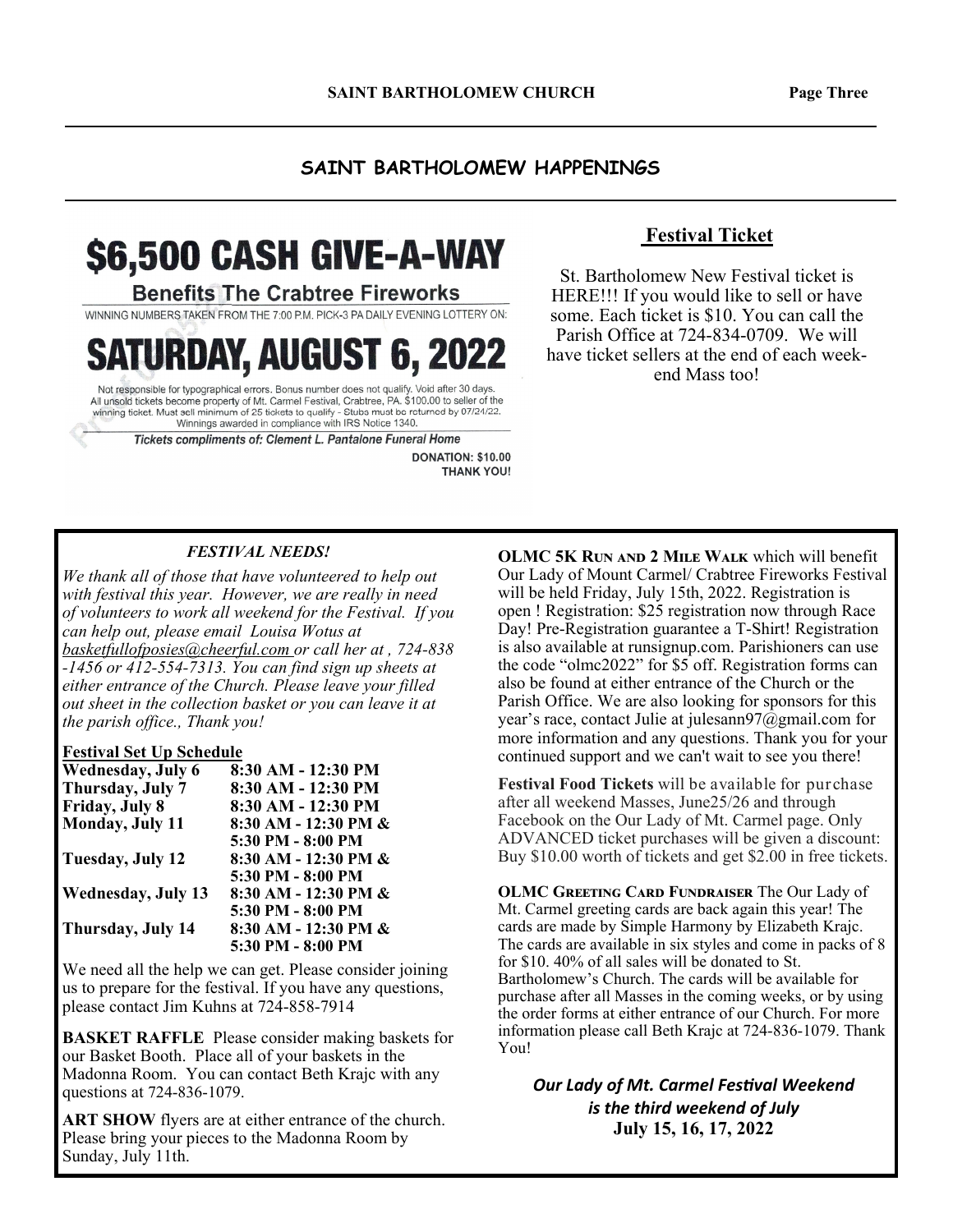#### **SAINT BARTHOLOMEW HAPPENINGS**

# \$6,500 CASH GIVE-A-WAY

**Benefits The Crabtree Fireworks** 

WINNING NUMBERS TAKEN FROM THE 7:00 P.M. PICK-3 PA DAILY EVENING LOTTERY ON:

**SATURDAY, AUGUST 6, 2022** 

Not responsible for typographical errors. Bonus number does not qualify. Void after 30 days All unsold tickets become property of Mt. Carmel Festival, Crabtree, PA. \$100.00 to seller of the winning ticket. Must sell minimum of 25 tickets to qualify - Stubs must be returned by 07/24/22. Winnings awarded in compliance with IRS Notice 1340.

Tickets compliments of: Clement L. Pantalone Funeral Home

DONATION: \$10.00 **THANK YOU!** 

### **Festival Ticket**

St. Bartholomew New Festival ticket is HERE!!! If you would like to sell or have some. Each ticket is \$10. You can call the Parish Office at 724-834-0709. We will have ticket sellers at the end of each weekend Mass too!

#### *FESTIVAL NEEDS!*

*We thank all of those that have volunteered to help out with festival this year. However, we are really in need of volunteers to work all weekend for the Festival. If you can help out, please email Louisa Wotus at basketfullofposies@cheerful.com or call her at , 724-838 -1456 or 412-554-7313. You can find sign up sheets at either entrance of the Church. Please leave your filled out sheet in the collection basket or you can leave it at the parish office., Thank you!* 

#### **Festival Set Up Schedule**

| Wednesday, July 6         | 8:30 AM - 12:30 PM   |
|---------------------------|----------------------|
| Thursday, July 7          | 8:30 AM - 12:30 PM   |
| Friday, July 8            | 8:30 AM - 12:30 PM   |
| Monday, July 11           | 8:30 AM - 12:30 PM & |
|                           | 5:30 PM - 8:00 PM    |
| Tuesday, July 12          | 8:30 AM - 12:30 PM & |
|                           | 5:30 PM - 8:00 PM    |
| <b>Wednesday, July 13</b> | 8:30 AM - 12:30 PM & |
|                           | 5:30 PM - 8:00 PM    |
| Thursday, July 14         | 8:30 AM - 12:30 PM & |
|                           | 5:30 PM - 8:00 PM    |

We need all the help we can get. Please consider joining us to prepare for the festival. If you have any questions, please contact Jim Kuhns at 724-858-7914

**BASKET RAFFLE** Please consider making baskets for our Basket Booth. Place all of your baskets in the Madonna Room. You can contact Beth Krajc with any questions at 724-836-1079.

**ART SHOW** flyers are at either entrance of the church. Please bring your pieces to the Madonna Room by Sunday, July 11th.

**OLMC 5K RUN AND 2 MILE WALK** which will benefit Our Lady of Mount Carmel/ Crabtree Fireworks Festival will be held Friday, July 15th, 2022. Registration is open ! Registration: \$25 registration now through Race Day! Pre-Registration guarantee a T-Shirt! Registration is also available at runsignup.com. Parishioners can use the code "olmc2022" for \$5 off. Registration forms can also be found at either entrance of the Church or the Parish Office. We are also looking for sponsors for this year's race, contact Julie at julesann97@gmail.com for more information and any questions. Thank you for your continued support and we can't wait to see you there!

**Festival Food Tickets** will be available for purchase after all weekend Masses, June25/26 and through Facebook on the Our Lady of Mt. Carmel page. Only ADVANCED ticket purchases will be given a discount: Buy \$10.00 worth of tickets and get \$2.00 in free tickets.

**OLMC GREETING CARD FUNDRAISER The Our Lady of** Mt. Carmel greeting cards are back again this year! The cards are made by Simple Harmony by Elizabeth Krajc. The cards are available in six styles and come in packs of 8 for \$10. 40% of all sales will be donated to St. Bartholomew's Church. The cards will be available for purchase after all Masses in the coming weeks, or by using the order forms at either entrance of our Church. For more information please call Beth Krajc at 724-836-1079. Thank You!

**Our Lady of Mt. Carmel Festival Weekend** *is the third weekend of July*  **July 15, 16, 17, 2022**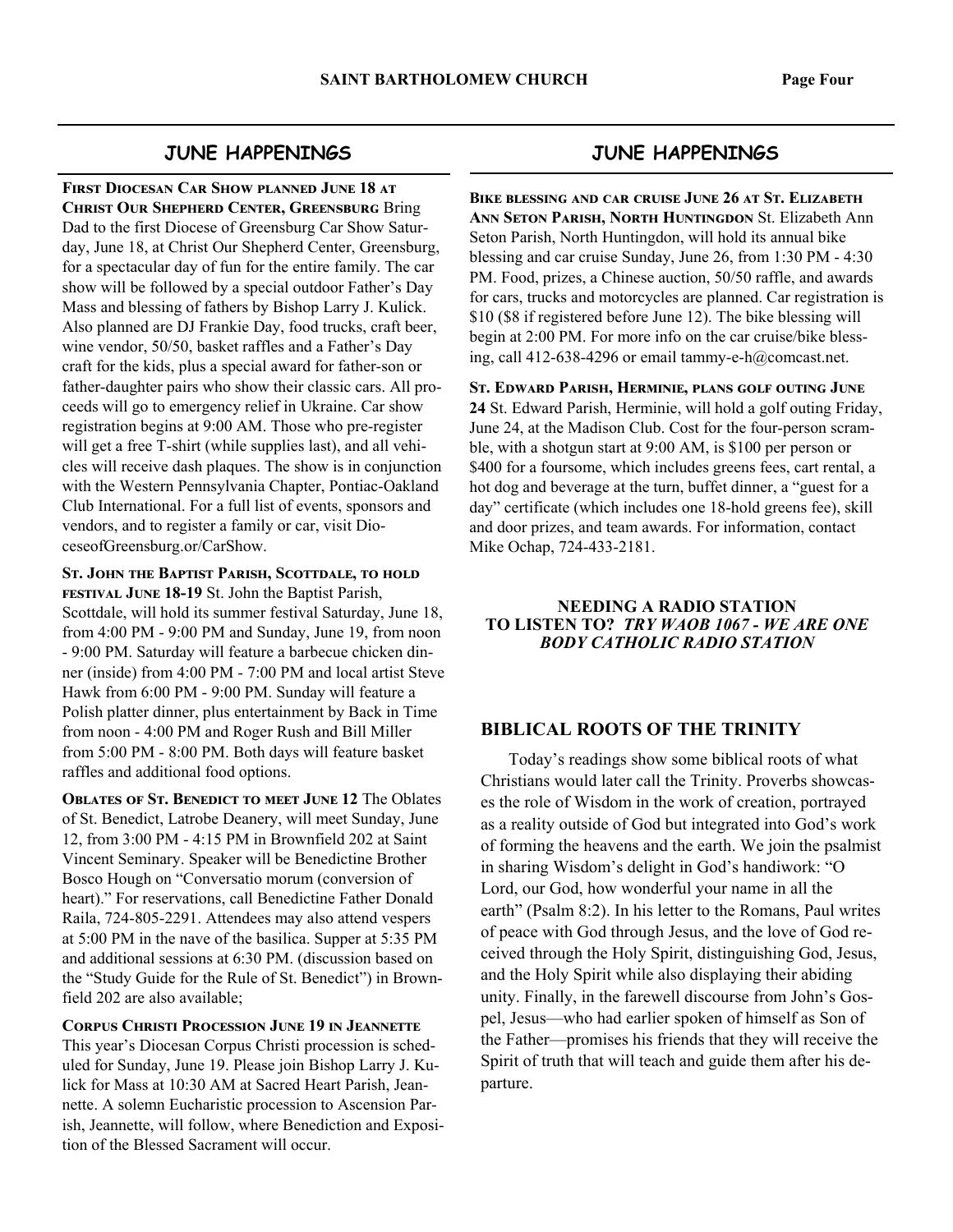#### **JUNE HAPPENINGS**

**FIRST DIOCESAN CAR SHOW PLANNED JUNE 18 AT CHRIST OUR SHEPHERD CENTER, GREENSBURG Bring** Dad to the first Diocese of Greensburg Car Show Saturday, June 18, at Christ Our Shepherd Center, Greensburg, for a spectacular day of fun for the entire family. The car show will be followed by a special outdoor Father's Day Mass and blessing of fathers by Bishop Larry J. Kulick. Also planned are DJ Frankie Day, food trucks, craft beer, wine vendor, 50/50, basket raffles and a Father's Day craft for the kids, plus a special award for father-son or father-daughter pairs who show their classic cars. All proceeds will go to emergency relief in Ukraine. Car show registration begins at 9:00 AM. Those who pre-register will get a free T-shirt (while supplies last), and all vehicles will receive dash plaques. The show is in conjunction with the Western Pennsylvania Chapter, Pontiac-Oakland Club International. For a full list of events, sponsors and vendors, and to register a family or car, visit DioceseofGreensburg.or/CarShow.

ST. JOHN THE BAPTIST PARISH, SCOTTDALE, TO HOLD **FESTIVAL JUNE 18-19 St. John the Baptist Parish,** Scottdale, will hold its summer festival Saturday, June 18, from 4:00 PM - 9:00 PM and Sunday, June 19, from noon - 9:00 PM. Saturday will feature a barbecue chicken dinner (inside) from 4:00 PM - 7:00 PM and local artist Steve Hawk from 6:00 PM - 9:00 PM. Sunday will feature a Polish platter dinner, plus entertainment by Back in Time from noon - 4:00 PM and Roger Rush and Bill Miller from 5:00 PM - 8:00 PM. Both days will feature basket raffles and additional food options.

**OBLATES OF ST. BENEDICT TO MEET JUNE 12 The Oblates** of St. Benedict, Latrobe Deanery, will meet Sunday, June 12, from 3:00 PM - 4:15 PM in Brownfield 202 at Saint Vincent Seminary. Speaker will be Benedictine Brother Bosco Hough on "Conversatio morum (conversion of heart)." For reservations, call Benedictine Father Donald Raila, 724-805-2291. Attendees may also attend vespers at 5:00 PM in the nave of the basilica. Supper at 5:35 PM and additional sessions at 6:30 PM. (discussion based on the "Study Guide for the Rule of St. Benedict") in Brownfield 202 are also available;

**CORPUS CHRISTI PROCESSION JUNE 19 IN JEANNETTE** This year's Diocesan Corpus Christi procession is scheduled for Sunday, June 19. Please join Bishop Larry J. Kulick for Mass at 10:30 AM at Sacred Heart Parish, Jeannette. A solemn Eucharistic procession to Ascension Parish, Jeannette, will follow, where Benediction and Exposition of the Blessed Sacrament will occur.

#### **JUNE HAPPENINGS**

**BIKE BLESSING AND CAR CRUISE JUNE 26 AT ST. ELIZABETH ANN SETON PARISH, NORTH HUNTINGDON St. Elizabeth Ann** Seton Parish, North Huntingdon, will hold its annual bike blessing and car cruise Sunday, June 26, from 1:30 PM - 4:30 PM. Food, prizes, a Chinese auction, 50/50 raffle, and awards for cars, trucks and motorcycles are planned. Car registration is \$10 (\$8 if registered before June 12). The bike blessing will begin at 2:00 PM. For more info on the car cruise/bike blessing, call 412-638-4296 or email tammy-e-h@comcast.net.

ST. EDWARD PARISH, HERMINIE, PLANS GOLF OUTING JUNE **24** St. Edward Parish, Herminie, will hold a golf outing Friday, June 24, at the Madison Club. Cost for the four-person scramble, with a shotgun start at 9:00 AM, is \$100 per person or \$400 for a foursome, which includes greens fees, cart rental, a hot dog and beverage at the turn, buffet dinner, a "guest for a day" certificate (which includes one 18-hold greens fee), skill and door prizes, and team awards. For information, contact Mike Ochap, 724-433-2181.

#### **NEEDING A RADIO STATION TO LISTEN TO?** *TRY WAOB 1067 - WE ARE ONE BODY CATHOLIC RADIO STATION*

#### **BIBLICAL ROOTS OF THE TRINITY**

 Today's readings show some biblical roots of what Christians would later call the Trinity. Proverbs showcases the role of Wisdom in the work of creation, portrayed as a reality outside of God but integrated into God's work of forming the heavens and the earth. We join the psalmist in sharing Wisdom's delight in God's handiwork: "O Lord, our God, how wonderful your name in all the earth" (Psalm 8:2). In his letter to the Romans, Paul writes of peace with God through Jesus, and the love of God received through the Holy Spirit, distinguishing God, Jesus, and the Holy Spirit while also displaying their abiding unity. Finally, in the farewell discourse from John's Gospel, Jesus—who had earlier spoken of himself as Son of the Father—promises his friends that they will receive the Spirit of truth that will teach and guide them after his departure.